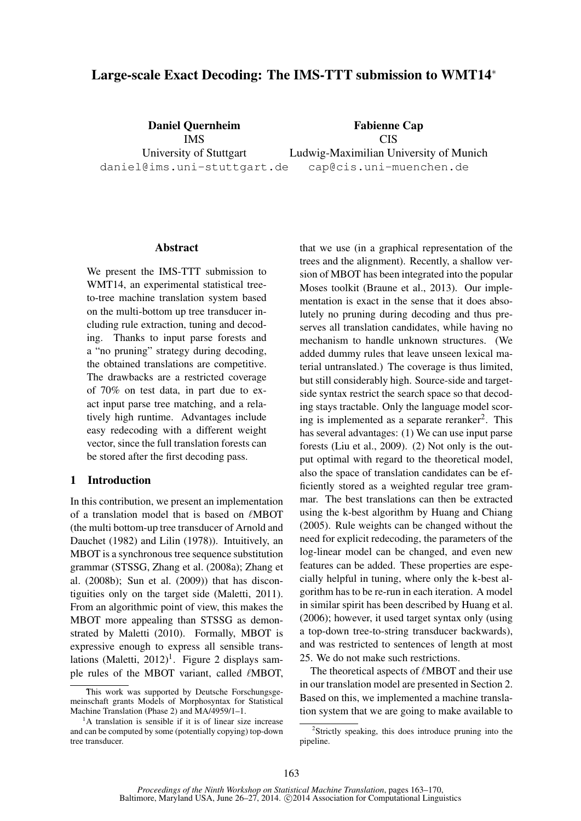# Large-scale Exact Decoding: The IMS-TTT submission to WMT14<sup>∗</sup>

Daniel Quernheim IMS University of Stuttgart daniel@ims.uni-stuttgart.de Fabienne Cap CIS Ludwig-Maximilian University of Munich cap@cis.uni-muenchen.de

#### Abstract

We present the IMS-TTT submission to WMT14, an experimental statistical treeto-tree machine translation system based on the multi-bottom up tree transducer including rule extraction, tuning and decoding. Thanks to input parse forests and a "no pruning" strategy during decoding, the obtained translations are competitive. The drawbacks are a restricted coverage of 70% on test data, in part due to exact input parse tree matching, and a relatively high runtime. Advantages include easy redecoding with a different weight vector, since the full translation forests can be stored after the first decoding pass.

## 1 Introduction

In this contribution, we present an implementation of a translation model that is based on  $\ell$ MBOT (the multi bottom-up tree transducer of Arnold and Dauchet (1982) and Lilin (1978)). Intuitively, an MBOT is a synchronous tree sequence substitution grammar (STSSG, Zhang et al. (2008a); Zhang et al. (2008b); Sun et al. (2009)) that has discontiguities only on the target side (Maletti, 2011). From an algorithmic point of view, this makes the MBOT more appealing than STSSG as demonstrated by Maletti (2010). Formally, MBOT is expressive enough to express all sensible translations (Maletti,  $2012$ <sup>1</sup>. Figure 2 displays sample rules of the MBOT variant, called  $\ell$ MBOT, that we use (in a graphical representation of the trees and the alignment). Recently, a shallow version of MBOT has been integrated into the popular Moses toolkit (Braune et al., 2013). Our implementation is exact in the sense that it does absolutely no pruning during decoding and thus preserves all translation candidates, while having no mechanism to handle unknown structures. (We added dummy rules that leave unseen lexical material untranslated.) The coverage is thus limited, but still considerably high. Source-side and targetside syntax restrict the search space so that decoding stays tractable. Only the language model scoring is implemented as a separate reranker<sup>2</sup>. This has several advantages: (1) We can use input parse forests (Liu et al., 2009). (2) Not only is the output optimal with regard to the theoretical model, also the space of translation candidates can be efficiently stored as a weighted regular tree grammar. The best translations can then be extracted using the k-best algorithm by Huang and Chiang (2005). Rule weights can be changed without the need for explicit redecoding, the parameters of the log-linear model can be changed, and even new features can be added. These properties are especially helpful in tuning, where only the k-best algorithm has to be re-run in each iteration. A model in similar spirit has been described by Huang et al. (2006); however, it used target syntax only (using a top-down tree-to-string transducer backwards), and was restricted to sentences of length at most 25. We do not make such restrictions.

The theoretical aspects of  $\ell$ MBOT and their use in our translation model are presented in Section 2. Based on this, we implemented a machine translation system that we are going to make available to

This work was supported by Deutsche Forschungsgemeinschaft grants Models of Morphosyntax for Statistical Machine Translation (Phase 2) and MA/4959/1–1.

<sup>&</sup>lt;sup>1</sup>A translation is sensible if it is of linear size increase and can be computed by some (potentially copying) top-down tree transducer.

<sup>&</sup>lt;sup>2</sup>Strictly speaking, this does introduce pruning into the pipeline.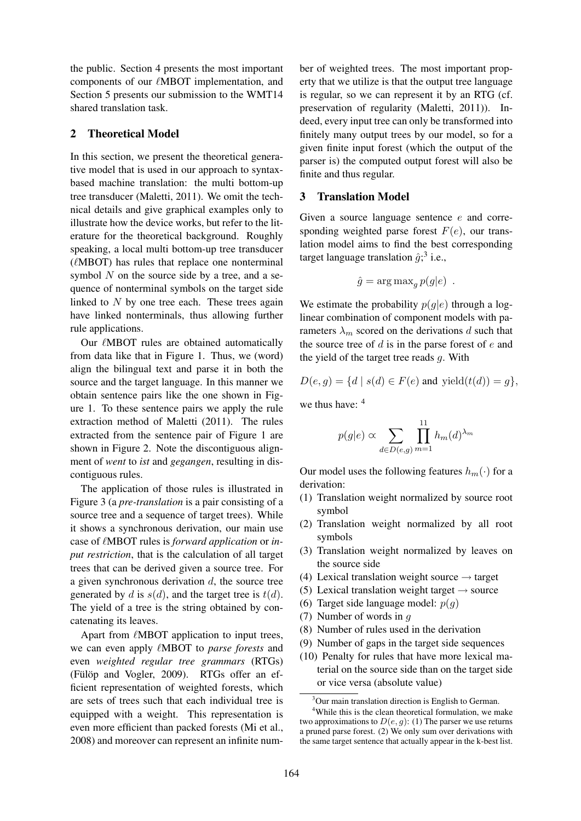the public. Section 4 presents the most important components of our  $\ell$ MBOT implementation, and Section 5 presents our submission to the WMT14 shared translation task.

## 2 Theoretical Model

In this section, we present the theoretical generative model that is used in our approach to syntaxbased machine translation: the multi bottom-up tree transducer (Maletti, 2011). We omit the technical details and give graphical examples only to illustrate how the device works, but refer to the literature for the theoretical background. Roughly speaking, a local multi bottom-up tree transducer  $(\ell M$ BOT) has rules that replace one nonterminal symbol  $N$  on the source side by a tree, and a sequence of nonterminal symbols on the target side linked to N by one tree each. These trees again have linked nonterminals, thus allowing further rule applications.

Our *l*MBOT rules are obtained automatically from data like that in Figure 1. Thus, we (word) align the bilingual text and parse it in both the source and the target language. In this manner we obtain sentence pairs like the one shown in Figure 1. To these sentence pairs we apply the rule extraction method of Maletti (2011). The rules extracted from the sentence pair of Figure 1 are shown in Figure 2. Note the discontiguous alignment of *went* to *ist* and *gegangen*, resulting in discontiguous rules.

The application of those rules is illustrated in Figure 3 (a *pre-translation* is a pair consisting of a source tree and a sequence of target trees). While it shows a synchronous derivation, our main use case of *l*MBOT rules is *forward application* or *input restriction*, that is the calculation of all target trees that can be derived given a source tree. For a given synchronous derivation  $d$ , the source tree generated by d is  $s(d)$ , and the target tree is  $t(d)$ . The yield of a tree is the string obtained by concatenating its leaves.

Apart from  $\ell$ MBOT application to input trees, we can even apply  $\ell$ MBOT to *parse forests* and even *weighted regular tree grammars* (RTGs) (Fülöp and Vogler, 2009). RTGs offer an efficient representation of weighted forests, which are sets of trees such that each individual tree is equipped with a weight. This representation is even more efficient than packed forests (Mi et al., 2008) and moreover can represent an infinite number of weighted trees. The most important property that we utilize is that the output tree language is regular, so we can represent it by an RTG (cf. preservation of regularity (Maletti, 2011)). Indeed, every input tree can only be transformed into finitely many output trees by our model, so for a given finite input forest (which the output of the parser is) the computed output forest will also be finite and thus regular.

## 3 Translation Model

Given a source language sentence e and corresponding weighted parse forest  $F(e)$ , our translation model aims to find the best corresponding target language translation  $\hat{g}$ ;<sup>3</sup> i.e.,

$$
\hat{g} = \arg \max_g p(g|e) .
$$

We estimate the probability  $p(q|e)$  through a loglinear combination of component models with parameters  $\lambda_m$  scored on the derivations d such that the source tree of  $d$  is in the parse forest of  $e$  and the yield of the target tree reads g. With

$$
D(e,g) = \{d \mid s(d) \in F(e) \text{ and } \text{yield}(t(d)) = g\},
$$

we thus have: <sup>4</sup>

$$
p(g|e) \propto \sum_{d \in D(e,g)} \prod_{m=1}^{11} h_m(d)^{\lambda_m}
$$

Our model uses the following features  $h_m(\cdot)$  for a derivation:

- (1) Translation weight normalized by source root symbol
- (2) Translation weight normalized by all root symbols
- (3) Translation weight normalized by leaves on the source side
- (4) Lexical translation weight source  $\rightarrow$  target
- (5) Lexical translation weight target  $\rightarrow$  source
- (6) Target side language model:  $p(q)$
- (7) Number of words in g
- (8) Number of rules used in the derivation
- (9) Number of gaps in the target side sequences
- (10) Penalty for rules that have more lexical material on the source side than on the target side or vice versa (absolute value)

<sup>&</sup>lt;sup>3</sup>Our main translation direction is English to German.

<sup>&</sup>lt;sup>4</sup>While this is the clean theoretical formulation, we make two approximations to  $D(e, q)$ : (1) The parser we use returns a pruned parse forest. (2) We only sum over derivations with the same target sentence that actually appear in the k-best list.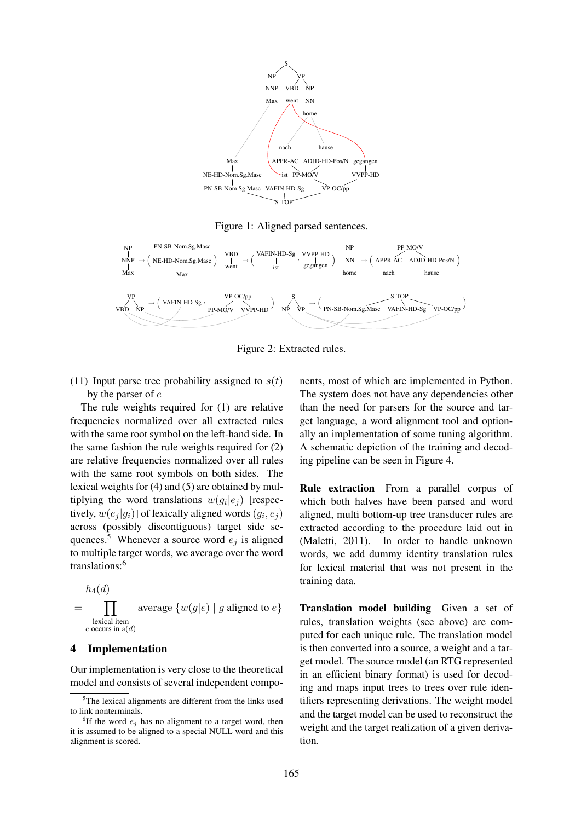

Figure 1: Aligned parsed sentences.



Figure 2: Extracted rules.

(11) Input parse tree probability assigned to  $s(t)$ by the parser of  $e$ 

The rule weights required for (1) are relative frequencies normalized over all extracted rules with the same root symbol on the left-hand side. In the same fashion the rule weights required for (2) are relative frequencies normalized over all rules with the same root symbols on both sides. The lexical weights for (4) and (5) are obtained by multiplying the word translations  $w(g_i|e_j)$  [respectively,  $w(e_j | g_i)$ ] of lexically aligned words  $(g_i, e_j)$ across (possibly discontiguous) target side sequences.<sup>5</sup> Whenever a source word  $e_i$  is aligned to multiple target words, we average over the word translations:<sup>6</sup>

$$
h_4(d)
$$
  
= 
$$
\prod_{\substack{\text{lexical item} \\ e \text{ occurs in } s(d)}} \text{average } \{w(g|e) \mid g \text{ aligned to } e\}
$$

### 4 Implementation

Our implementation is very close to the theoretical model and consists of several independent components, most of which are implemented in Python. The system does not have any dependencies other than the need for parsers for the source and target language, a word alignment tool and optionally an implementation of some tuning algorithm. A schematic depiction of the training and decoding pipeline can be seen in Figure 4.

Rule extraction From a parallel corpus of which both halves have been parsed and word aligned, multi bottom-up tree transducer rules are extracted according to the procedure laid out in (Maletti, 2011). In order to handle unknown words, we add dummy identity translation rules for lexical material that was not present in the training data.

Translation model building Given a set of rules, translation weights (see above) are computed for each unique rule. The translation model is then converted into a source, a weight and a target model. The source model (an RTG represented in an efficient binary format) is used for decoding and maps input trees to trees over rule identifiers representing derivations. The weight model and the target model can be used to reconstruct the weight and the target realization of a given derivation.

<sup>&</sup>lt;sup>5</sup>The lexical alignments are different from the links used to link nonterminals.

<sup>&</sup>lt;sup>6</sup>If the word  $e_j$  has no alignment to a target word, then it is assumed to be aligned to a special NULL word and this alignment is scored.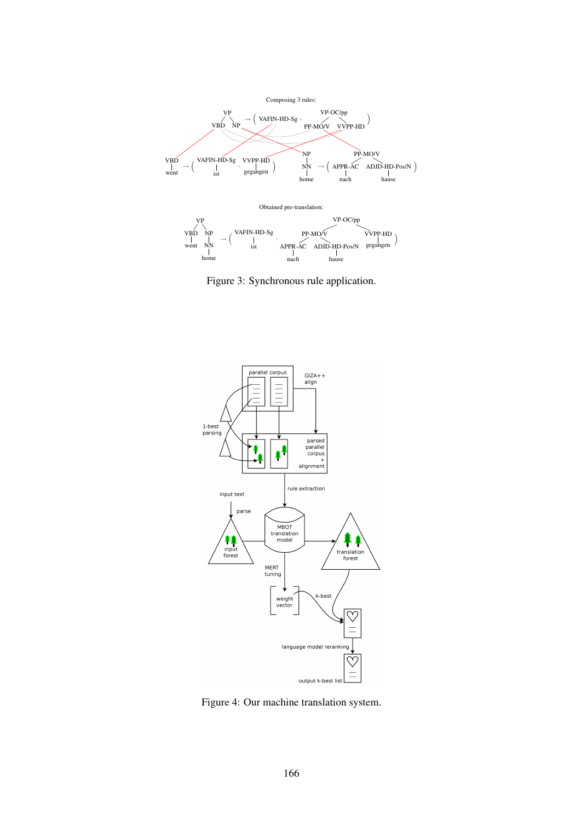

Figure 3: Synchronous rule application.



Figure 4: Our machine translation system.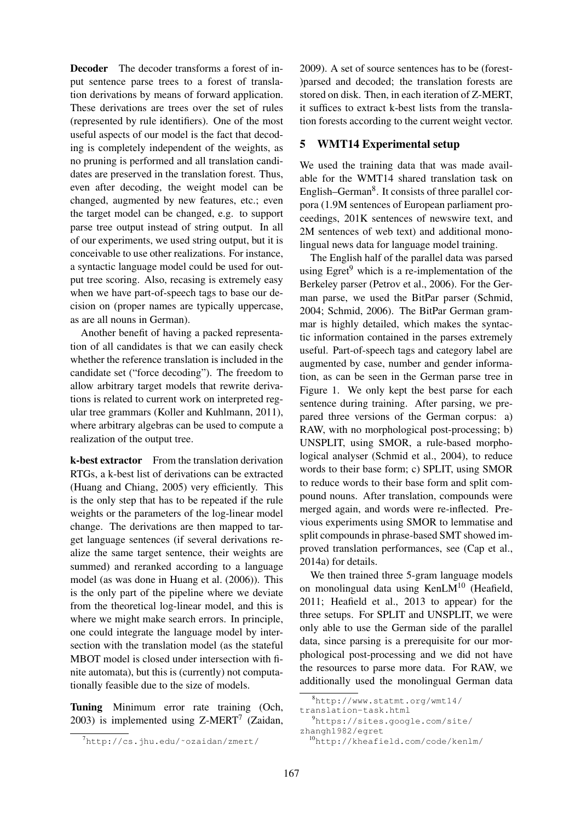Decoder The decoder transforms a forest of input sentence parse trees to a forest of translation derivations by means of forward application. These derivations are trees over the set of rules (represented by rule identifiers). One of the most useful aspects of our model is the fact that decoding is completely independent of the weights, as no pruning is performed and all translation candidates are preserved in the translation forest. Thus, even after decoding, the weight model can be changed, augmented by new features, etc.; even the target model can be changed, e.g. to support parse tree output instead of string output. In all of our experiments, we used string output, but it is conceivable to use other realizations. For instance, a syntactic language model could be used for output tree scoring. Also, recasing is extremely easy when we have part-of-speech tags to base our decision on (proper names are typically uppercase, as are all nouns in German).

Another benefit of having a packed representation of all candidates is that we can easily check whether the reference translation is included in the candidate set ("force decoding"). The freedom to allow arbitrary target models that rewrite derivations is related to current work on interpreted regular tree grammars (Koller and Kuhlmann, 2011), where arbitrary algebras can be used to compute a realization of the output tree.

k-best extractor From the translation derivation RTGs, a k-best list of derivations can be extracted (Huang and Chiang, 2005) very efficiently. This is the only step that has to be repeated if the rule weights or the parameters of the log-linear model change. The derivations are then mapped to target language sentences (if several derivations realize the same target sentence, their weights are summed) and reranked according to a language model (as was done in Huang et al. (2006)). This is the only part of the pipeline where we deviate from the theoretical log-linear model, and this is where we might make search errors. In principle, one could integrate the language model by intersection with the translation model (as the stateful MBOT model is closed under intersection with finite automata), but this is (currently) not computationally feasible due to the size of models.

Tuning Minimum error rate training (Och, 2003) is implemented using  $Z-MERT<sup>7</sup>$  (Zaidan,

2009). A set of source sentences has to be (forest- )parsed and decoded; the translation forests are stored on disk. Then, in each iteration of Z-MERT, it suffices to extract k-best lists from the translation forests according to the current weight vector.

## 5 WMT14 Experimental setup

We used the training data that was made available for the WMT14 shared translation task on English-German<sup>8</sup>. It consists of three parallel corpora (1.9M sentences of European parliament proceedings, 201K sentences of newswire text, and 2M sentences of web text) and additional monolingual news data for language model training.

The English half of the parallel data was parsed using Egret<sup>9</sup> which is a re-implementation of the Berkeley parser (Petrov et al., 2006). For the German parse, we used the BitPar parser (Schmid, 2004; Schmid, 2006). The BitPar German grammar is highly detailed, which makes the syntactic information contained in the parses extremely useful. Part-of-speech tags and category label are augmented by case, number and gender information, as can be seen in the German parse tree in Figure 1. We only kept the best parse for each sentence during training. After parsing, we prepared three versions of the German corpus: a) RAW, with no morphological post-processing; b) UNSPLIT, using SMOR, a rule-based morphological analyser (Schmid et al., 2004), to reduce words to their base form; c) SPLIT, using SMOR to reduce words to their base form and split compound nouns. After translation, compounds were merged again, and words were re-inflected. Previous experiments using SMOR to lemmatise and split compounds in phrase-based SMT showed improved translation performances, see (Cap et al., 2014a) for details.

We then trained three 5-gram language models on monolingual data using KenLM<sup>10</sup> (Heafield, 2011; Heafield et al., 2013 to appear) for the three setups. For SPLIT and UNSPLIT, we were only able to use the German side of the parallel data, since parsing is a prerequisite for our morphological post-processing and we did not have the resources to parse more data. For RAW, we additionally used the monolingual German data

<sup>7</sup>http://cs.jhu.edu/˜ozaidan/zmert/

<sup>8</sup>http://www.statmt.org/wmt14/

translation-task.html

<sup>9</sup>https://sites.google.com/site/

zhangh1982/egret <sup>10</sup>http://kheafield.com/code/kenlm/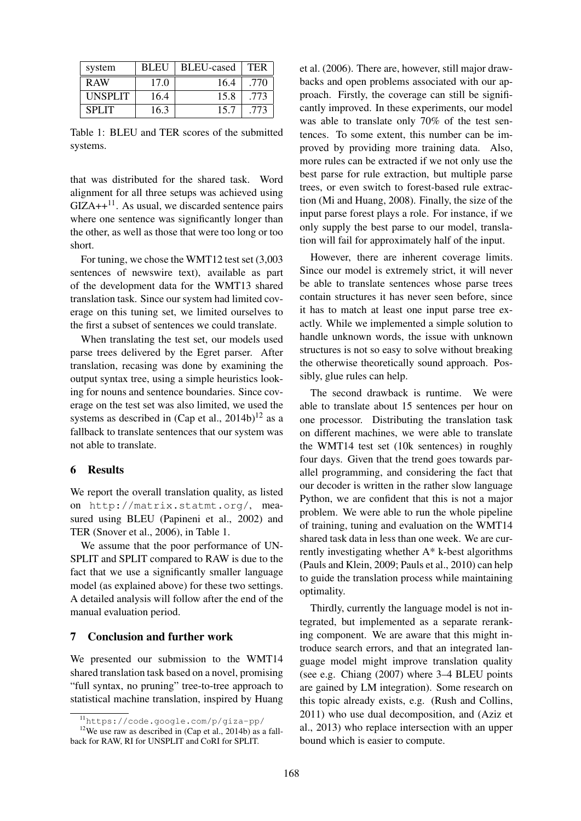| system       | <b>BLEU</b> | <b>BLEU-cased</b> | <b>TER</b> |
|--------------|-------------|-------------------|------------|
| <b>RAW</b>   | 17.0        | 16.4              | .770       |
| UNSPLIT      | 16.4        | 15.8              | .773       |
| <b>SPLIT</b> | 16.3        | 15.7              | .773       |

Table 1: BLEU and TER scores of the submitted systems.

that was distributed for the shared task. Word alignment for all three setups was achieved using  $GIZA++<sup>11</sup>$ . As usual, we discarded sentence pairs where one sentence was significantly longer than the other, as well as those that were too long or too short.

For tuning, we chose the WMT12 test set (3,003 sentences of newswire text), available as part of the development data for the WMT13 shared translation task. Since our system had limited coverage on this tuning set, we limited ourselves to the first a subset of sentences we could translate.

When translating the test set, our models used parse trees delivered by the Egret parser. After translation, recasing was done by examining the output syntax tree, using a simple heuristics looking for nouns and sentence boundaries. Since coverage on the test set was also limited, we used the systems as described in (Cap et al.,  $2014b$ )<sup>12</sup> as a fallback to translate sentences that our system was not able to translate.

### 6 Results

We report the overall translation quality, as listed on http://matrix.statmt.org/, measured using BLEU (Papineni et al., 2002) and TER (Snover et al., 2006), in Table 1.

We assume that the poor performance of UN-SPLIT and SPLIT compared to RAW is due to the fact that we use a significantly smaller language model (as explained above) for these two settings. A detailed analysis will follow after the end of the manual evaluation period.

## 7 Conclusion and further work

We presented our submission to the WMT14 shared translation task based on a novel, promising "full syntax, no pruning" tree-to-tree approach to statistical machine translation, inspired by Huang et al. (2006). There are, however, still major drawbacks and open problems associated with our approach. Firstly, the coverage can still be significantly improved. In these experiments, our model was able to translate only 70% of the test sentences. To some extent, this number can be improved by providing more training data. Also, more rules can be extracted if we not only use the best parse for rule extraction, but multiple parse trees, or even switch to forest-based rule extraction (Mi and Huang, 2008). Finally, the size of the input parse forest plays a role. For instance, if we only supply the best parse to our model, translation will fail for approximately half of the input.

However, there are inherent coverage limits. Since our model is extremely strict, it will never be able to translate sentences whose parse trees contain structures it has never seen before, since it has to match at least one input parse tree exactly. While we implemented a simple solution to handle unknown words, the issue with unknown structures is not so easy to solve without breaking the otherwise theoretically sound approach. Possibly, glue rules can help.

The second drawback is runtime. We were able to translate about 15 sentences per hour on one processor. Distributing the translation task on different machines, we were able to translate the WMT14 test set (10k sentences) in roughly four days. Given that the trend goes towards parallel programming, and considering the fact that our decoder is written in the rather slow language Python, we are confident that this is not a major problem. We were able to run the whole pipeline of training, tuning and evaluation on the WMT14 shared task data in less than one week. We are currently investigating whether  $A^*$  k-best algorithms (Pauls and Klein, 2009; Pauls et al., 2010) can help to guide the translation process while maintaining optimality.

Thirdly, currently the language model is not integrated, but implemented as a separate reranking component. We are aware that this might introduce search errors, and that an integrated language model might improve translation quality (see e.g. Chiang (2007) where 3–4 BLEU points are gained by LM integration). Some research on this topic already exists, e.g. (Rush and Collins, 2011) who use dual decomposition, and (Aziz et al., 2013) who replace intersection with an upper bound which is easier to compute.

<sup>11</sup>https://code.google.com/p/giza-pp/

 $12$ We use raw as described in (Cap et al., 2014b) as a fallback for RAW, RI for UNSPLIT and CoRI for SPLIT.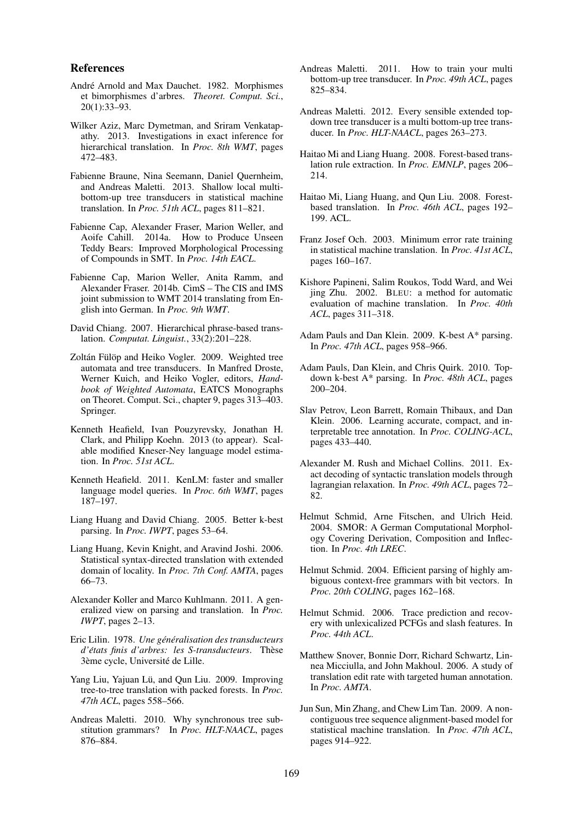#### References

- André Arnold and Max Dauchet. 1982. Morphismes et bimorphismes d'arbres. *Theoret. Comput. Sci.*, 20(1):33–93.
- Wilker Aziz, Marc Dymetman, and Sriram Venkatapathy. 2013. Investigations in exact inference for hierarchical translation. In *Proc. 8th WMT*, pages 472–483.
- Fabienne Braune, Nina Seemann, Daniel Quernheim, and Andreas Maletti. 2013. Shallow local multibottom-up tree transducers in statistical machine translation. In *Proc. 51th ACL*, pages 811–821.
- Fabienne Cap, Alexander Fraser, Marion Weller, and Aoife Cahill. 2014a. How to Produce Unseen Teddy Bears: Improved Morphological Processing of Compounds in SMT. In *Proc. 14th EACL*.
- Fabienne Cap, Marion Weller, Anita Ramm, and Alexander Fraser. 2014b. CimS – The CIS and IMS joint submission to WMT 2014 translating from English into German. In *Proc. 9th WMT*.
- David Chiang. 2007. Hierarchical phrase-based translation. *Computat. Linguist.*, 33(2):201–228.
- Zoltán Fülöp and Heiko Vogler. 2009. Weighted tree automata and tree transducers. In Manfred Droste, Werner Kuich, and Heiko Vogler, editors, *Handbook of Weighted Automata*, EATCS Monographs on Theoret. Comput. Sci., chapter 9, pages 313–403. Springer.
- Kenneth Heafield, Ivan Pouzyrevsky, Jonathan H. Clark, and Philipp Koehn. 2013 (to appear). Scalable modified Kneser-Ney language model estimation. In *Proc. 51st ACL*.
- Kenneth Heafield. 2011. KenLM: faster and smaller language model queries. In *Proc. 6th WMT*, pages 187–197.
- Liang Huang and David Chiang. 2005. Better k-best parsing. In *Proc. IWPT*, pages 53–64.
- Liang Huang, Kevin Knight, and Aravind Joshi. 2006. Statistical syntax-directed translation with extended domain of locality. In *Proc. 7th Conf. AMTA*, pages 66–73.
- Alexander Koller and Marco Kuhlmann. 2011. A generalized view on parsing and translation. In *Proc. IWPT*, pages 2–13.
- Eric Lilin. 1978. Une généralisation des transducteurs *d'états finis d'arbres: les S-transducteurs.* Thèse 3ème cycle, Université de Lille.
- Yang Liu, Yajuan Lü, and Qun Liu. 2009. Improving tree-to-tree translation with packed forests. In *Proc. 47th ACL*, pages 558–566.
- Andreas Maletti. 2010. Why synchronous tree substitution grammars? In *Proc. HLT-NAACL*, pages 876–884.
- Andreas Maletti. 2011. How to train your multi bottom-up tree transducer. In *Proc. 49th ACL*, pages 825–834.
- Andreas Maletti. 2012. Every sensible extended topdown tree transducer is a multi bottom-up tree transducer. In *Proc. HLT-NAACL*, pages 263–273.
- Haitao Mi and Liang Huang. 2008. Forest-based translation rule extraction. In *Proc. EMNLP*, pages 206– 214.
- Haitao Mi, Liang Huang, and Qun Liu. 2008. Forestbased translation. In *Proc. 46th ACL*, pages 192– 199. ACL.
- Franz Josef Och. 2003. Minimum error rate training in statistical machine translation. In *Proc. 41st ACL*, pages 160–167.
- Kishore Papineni, Salim Roukos, Todd Ward, and Wei jing Zhu. 2002. BLEU: a method for automatic evaluation of machine translation. In *Proc. 40th ACL*, pages 311–318.
- Adam Pauls and Dan Klein. 2009. K-best A\* parsing. In *Proc. 47th ACL*, pages 958–966.
- Adam Pauls, Dan Klein, and Chris Quirk. 2010. Topdown k-best A\* parsing. In *Proc. 48th ACL*, pages 200–204.
- Slav Petrov, Leon Barrett, Romain Thibaux, and Dan Klein. 2006. Learning accurate, compact, and interpretable tree annotation. In *Proc. COLING-ACL*, pages 433–440.
- Alexander M. Rush and Michael Collins. 2011. Exact decoding of syntactic translation models through lagrangian relaxation. In *Proc. 49th ACL*, pages 72– 82.
- Helmut Schmid, Arne Fitschen, and Ulrich Heid. 2004. SMOR: A German Computational Morphology Covering Derivation, Composition and Inflection. In *Proc. 4th LREC*.
- Helmut Schmid. 2004. Efficient parsing of highly ambiguous context-free grammars with bit vectors. In *Proc. 20th COLING*, pages 162–168.
- Helmut Schmid. 2006. Trace prediction and recovery with unlexicalized PCFGs and slash features. In *Proc. 44th ACL*.
- Matthew Snover, Bonnie Dorr, Richard Schwartz, Linnea Micciulla, and John Makhoul. 2006. A study of translation edit rate with targeted human annotation. In *Proc. AMTA*.
- Jun Sun, Min Zhang, and Chew Lim Tan. 2009. A noncontiguous tree sequence alignment-based model for statistical machine translation. In *Proc. 47th ACL*, pages 914–922.